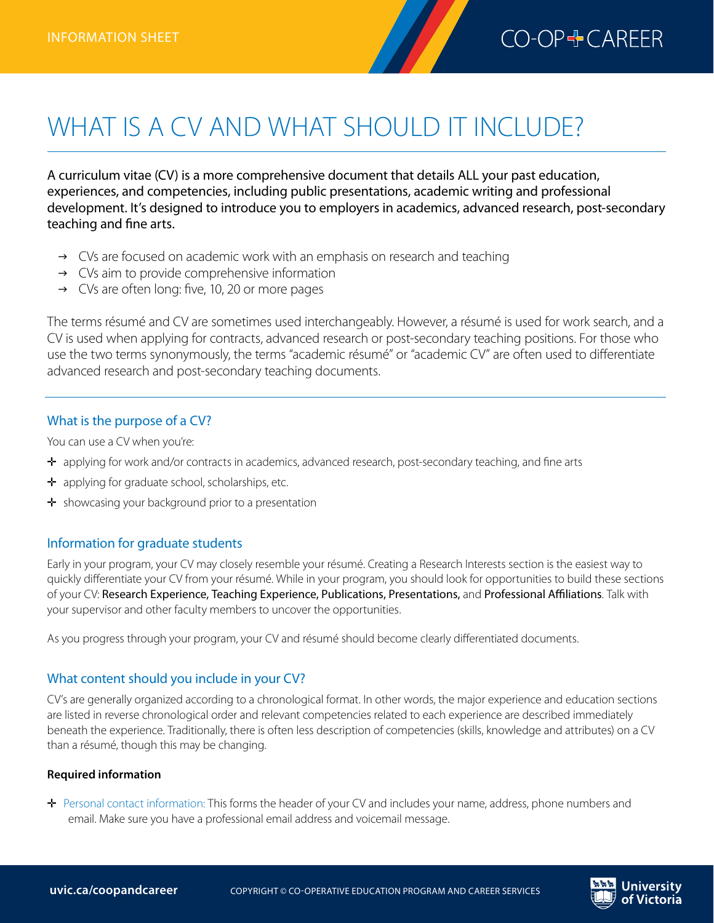

# WHAT IS A CV AND WHAT SHOULD IT INCLUDE?

A curriculum vitae (CV) is a more comprehensive document that details ALL your past education, experiences, and competencies, including public presentations, academic writing and professional development. It's designed to introduce you to employers in academics, advanced research, post-secondary teaching and fine arts.

- $\rightarrow$  CVs are focused on academic work with an emphasis on research and teaching
- $\rightarrow$  CVs aim to provide comprehensive information
- $\rightarrow$  CVs are often long: five, 10, 20 or more pages

The terms résumé and CV are sometimes used interchangeably. However, a résumé is used for work search, and a CV is used when applying for contracts, advanced research or post-secondary teaching positions. For those who use the two terms synonymously, the terms "academic résumé" or "academic CV" are often used to differentiate advanced research and post-secondary teaching documents.

#### What is the purpose of a CV?

You can use a CV when you're:

- ✛ applying for work and/or contracts in academics, advanced research, post-secondary teaching, and fine arts
- $\div$  applying for graduate school, scholarships, etc.
- $\div$  showcasing your background prior to a presentation

## Information for graduate students

Early in your program, your CV may closely resemble your résumé. Creating a Research Interests section is the easiest way to quickly differentiate your CV from your résumé. While in your program, you should look for opportunities to build these sections of your CV: Research Experience, Teaching Experience, Publications, Presentations, and Professional Affiliations. Talk with your supervisor and other faculty members to uncover the opportunities.

As you progress through your program, your CV and résumé should become clearly differentiated documents.

## What content should you include in your CV?

CV's are generally organized according to a chronological format. In other words, the major experience and education sections are listed in reverse chronological order and relevant competencies related to each experience are described immediately beneath the experience. Traditionally, there is often less description of competencies (skills, knowledge and attributes) on a CV than a résumé, though this may be changing.

#### **Required information**

✛ Personal contact information: This forms the header of your CV and includes your name, address, phone numbers and email. Make sure you have a professional email address and voicemail message.

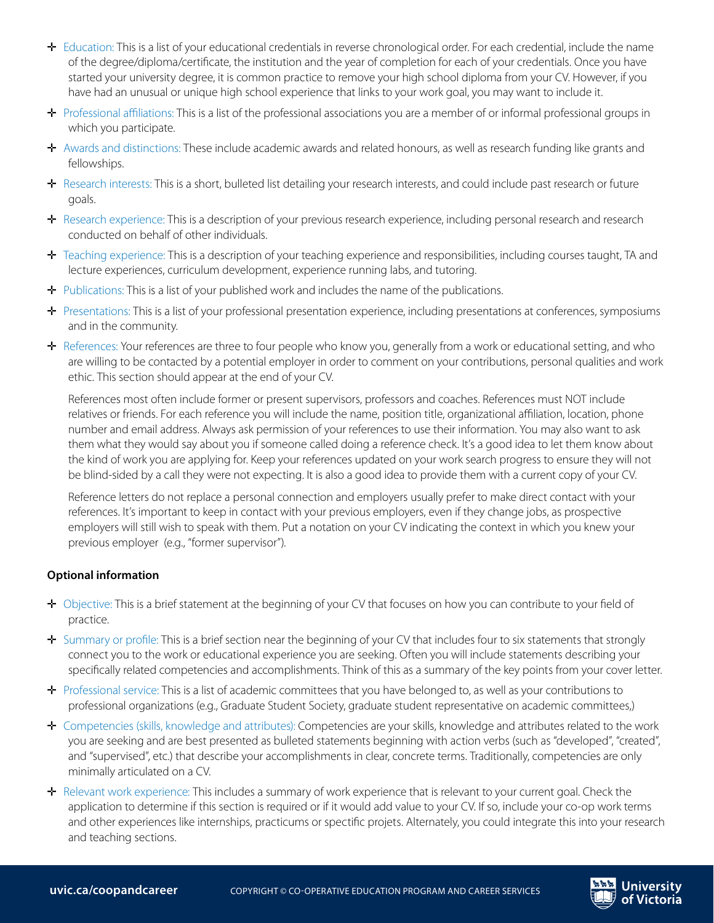- ✛ Education: This is a list of your educational credentials in reverse chronological order. For each credential, include the name of the degree/diploma/certificate, the institution and the year of completion for each of your credentials. Once you have started your university degree, it is common practice to remove your high school diploma from your CV. However, if you have had an unusual or unique high school experience that links to your work goal, you may want to include it.
- ✛ Professional affiliations: This is a list of the professional associations you are a member of or informal professional groups in which you participate.
- $\div$  Awards and distinctions: These include academic awards and related honours, as well as research funding like grants and fellowships.
- ✛ Research interests: This is a short, bulleted list detailing your research interests, and could include past research or future goals.
- ✛ Research experience: This is a description of your previous research experience, including personal research and research conducted on behalf of other individuals.
- ✛ Teaching experience: This is a description of your teaching experience and responsibilities, including courses taught, TA and lecture experiences, curriculum development, experience running labs, and tutoring.
- ✛ Publications: This is a list of your published work and includes the name of the publications.
- ✛ Presentations: This is a list of your professional presentation experience, including presentations at conferences, symposiums and in the community.
- ✛ References: Your references are three to four people who know you, generally from a work or educational setting, and who are willing to be contacted by a potential employer in order to comment on your contributions, personal qualities and work ethic. This section should appear at the end of your CV.

References most often include former or present supervisors, professors and coaches. References must NOT include relatives or friends. For each reference you will include the name, position title, organizational affiliation, location, phone number and email address. Always ask permission of your references to use their information. You may also want to ask them what they would say about you if someone called doing a reference check. It's a good idea to let them know about the kind of work you are applying for. Keep your references updated on your work search progress to ensure they will not be blind-sided by a call they were not expecting. It is also a good idea to provide them with a current copy of your CV.

Reference letters do not replace a personal connection and employers usually prefer to make direct contact with your references. It's important to keep in contact with your previous employers, even if they change jobs, as prospective employers will still wish to speak with them. Put a notation on your CV indicating the context in which you knew your previous employer (e.g., "former supervisor").

#### **Optional information**

- ✛ Objective: This is a brief statement at the beginning of your CV that focuses on how you can contribute to your field of practice.
- ✛ Summary or profile: This is a brief section near the beginning of your CV that includes four to six statements that strongly connect you to the work or educational experience you are seeking. Often you will include statements describing your specifically related competencies and accomplishments. Think of this as a summary of the key points from your cover letter.
- ✛ Professional service: This is a list of academic committees that you have belonged to, as well as your contributions to professional organizations (e.g., Graduate Student Society, graduate student representative on academic committees,)
- ✛ Competencies (skills, knowledge and attributes): Competencies are your skills, knowledge and attributes related to the work you are seeking and are best presented as bulleted statements beginning with action verbs (such as "developed", "created", and "supervised", etc.) that describe your accomplishments in clear, concrete terms. Traditionally, competencies are only minimally articulated on a CV.
- ✛ Relevant work experience: This includes a summary of work experience that is relevant to your current goal. Check the application to determine if this section is required or if it would add value to your CV. If so, include your co-op work terms and other experiences like internships, practicums or spectific projets. Alternately, you could integrate this into your research and teaching sections.